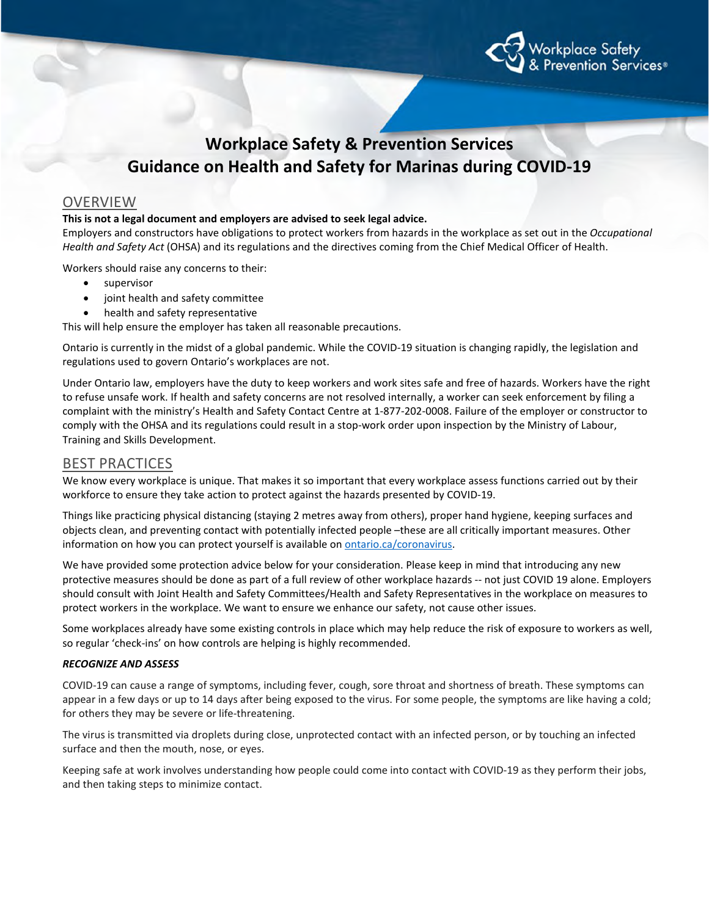

# **Workplace Safety & Prevention Services Guidance on Health and Safety for Marinas during COVID-19**

## OVERVIEW

#### **This is not a legal document and employers are advised to seek legal advice.**

Employers and constructors have obligations to protect workers from hazards in the workplace as set out in the *Occupational Health and Safety Act* (OHSA) and its regulations and the directives coming from the Chief Medical Officer of Health.

Workers should raise any concerns to their:

- supervisor
- joint health and safety committee
- health and safety representative

This will help ensure the employer has taken all reasonable precautions.

Ontario is currently in the midst of a global pandemic. While the COVID-19 situation is changing rapidly, the legislation and regulations used to govern Ontario's workplaces are not.

Under Ontario law, employers have the duty to keep workers and work sites safe and free of hazards. Workers have the right to refuse unsafe work. If health and safety concerns are not resolved internally, a worker can seek enforcement by filing a complaint with the ministry's Health and Safety Contact Centre at 1-877-202-0008. Failure of the employer or constructor to comply with the OHSA and its regulations could result in a stop-work order upon inspection by the Ministry of Labour, Training and Skills Development.

## BEST PRACTICES

We know every workplace is unique. That makes it so important that every workplace assess functions carried out by their workforce to ensure they take action to protect against the hazards presented by COVID-19.

Things like practicing physical distancing (staying 2 metres away from others), proper hand hygiene, keeping surfaces and objects clean, and preventing contact with potentially infected people –these are all critically important measures. Other information on how you can protect yourself is available on **ontario.ca/coronavirus**.

We have provided some protection advice below for your consideration. Please keep in mind that introducing any new protective measures should be done as part of a full review of other workplace hazards -- not just COVID 19 alone. Employers should consult with Joint Health and Safety Committees/Health and Safety Representatives in the workplace on measures to protect workers in the workplace. We want to ensure we enhance our safety, not cause other issues.

Some workplaces already have some existing controls in place which may help reduce the risk of exposure to workers as well, so regular 'check-ins' on how controls are helping is highly recommended.

#### *RECOGNIZE AND ASSESS*

COVID-19 can cause a range of symptoms, including fever, cough, sore throat and shortness of breath. These symptoms can appear in a few days or up to 14 days after being exposed to the virus. For some people, the symptoms are like having a cold; for others they may be severe or life-threatening.

The virus is transmitted via droplets during close, unprotected contact with an infected person, or by touching an infected surface and then the mouth, nose, or eyes.

Keeping safe at work involves understanding how people could come into contact with COVID-19 as they perform their jobs, and then taking steps to minimize contact.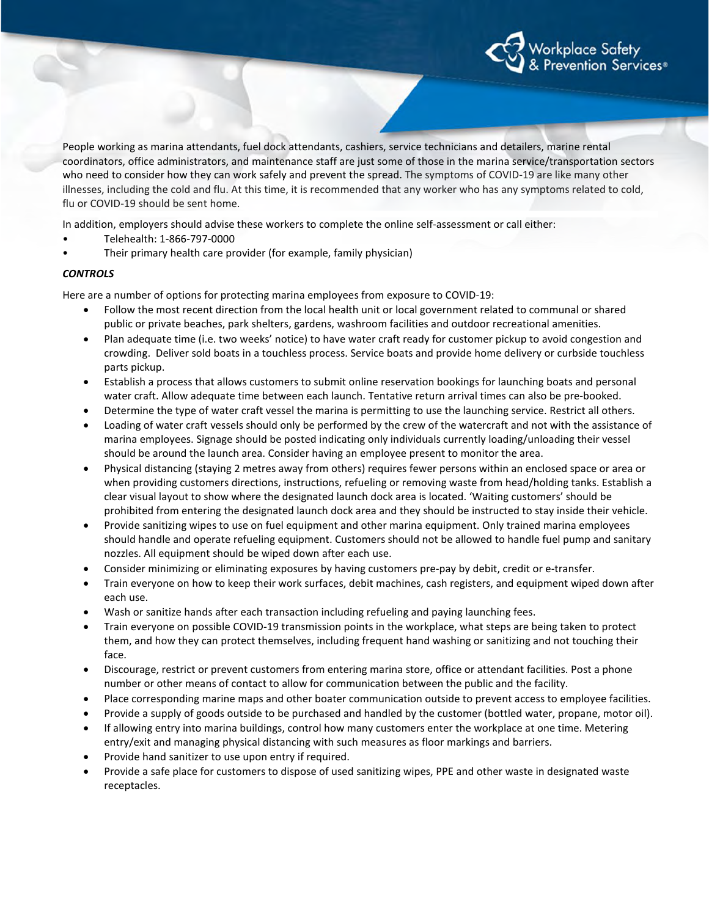

People working as marina attendants, fuel dock attendants, cashiers, service technicians and detailers, marine rental coordinators, office administrators, and maintenance staff are just some of those in the marina service/transportation sectors who need to consider how they can work safely and prevent the spread. The symptoms of COVID-19 are like many other illnesses, including the cold and flu. At this time, it is recommended that any worker who has any symptoms related to cold, flu or COVID-19 should be sent home.

In addition, employers should advise these workers to complete the online self-assessment or call either:

- Telehealth: 1-866-797-0000
- Their primary health care provider (for example, family physician)

#### *CONTROLS*

Here are a number of options for protecting marina employees from exposure to COVID-19:

- Follow the most recent direction from the local health unit or local government related to communal or shared public or private beaches, park shelters, gardens, washroom facilities and outdoor recreational amenities.
- Plan adequate time (i.e. two weeks' notice) to have water craft ready for customer pickup to avoid congestion and crowding. Deliver sold boats in a touchless process. Service boats and provide home delivery or curbside touchless parts pickup.
- Establish a process that allows customers to submit online reservation bookings for launching boats and personal water craft. Allow adequate time between each launch. Tentative return arrival times can also be pre-booked.
- Determine the type of water craft vessel the marina is permitting to use the launching service. Restrict all others.
- Loading of water craft vessels should only be performed by the crew of the watercraft and not with the assistance of marina employees. Signage should be posted indicating only individuals currently loading/unloading their vessel should be around the launch area. Consider having an employee present to monitor the area.
- Physical distancing (staying 2 metres away from others) requires fewer persons within an enclosed space or area or when providing customers directions, instructions, refueling or removing waste from head/holding tanks. Establish a clear visual layout to show where the designated launch dock area is located. 'Waiting customers' should be prohibited from entering the designated launch dock area and they should be instructed to stay inside their vehicle.
- Provide sanitizing wipes to use on fuel equipment and other marina equipment. Only trained marina employees should handle and operate refueling equipment. Customers should not be allowed to handle fuel pump and sanitary nozzles. All equipment should be wiped down after each use.
- Consider minimizing or eliminating exposures by having customers pre-pay by debit, credit or e-transfer.
- Train everyone on how to keep their work surfaces, debit machines, cash registers, and equipment wiped down after each use.
- Wash or sanitize hands after each transaction including refueling and paying launching fees.
- Train everyone on possible COVID-19 transmission points in the workplace, what steps are being taken to protect them, and how they can protect themselves, including frequent hand washing or sanitizing and not touching their face.
- Discourage, restrict or prevent customers from entering marina store, office or attendant facilities. Post a phone number or other means of contact to allow for communication between the public and the facility.
- Place corresponding marine maps and other boater communication outside to prevent access to employee facilities.
- Provide a supply of goods outside to be purchased and handled by the customer (bottled water, propane, motor oil).
- If allowing entry into marina buildings, control how many customers enter the workplace at one time. Metering entry/exit and managing physical distancing with such measures as floor markings and barriers.
- Provide hand sanitizer to use upon entry if required.
- Provide a safe place for customers to dispose of used sanitizing wipes, PPE and other waste in designated waste receptacles.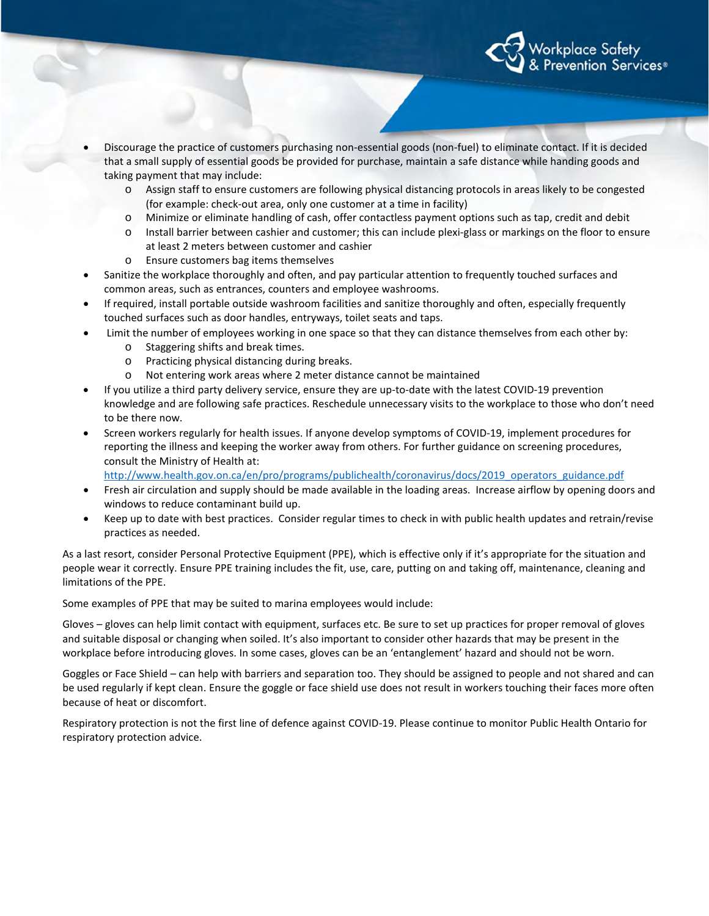

- Discourage the practice of customers purchasing non-essential goods (non-fuel) to eliminate contact. If it is decided that a small supply of essential goods be provided for purchase, maintain a safe distance while handing goods and taking payment that may include:
	- o Assign staff to ensure customers are following physical distancing protocols in areas likely to be congested (for example: check-out area, only one customer at a time in facility)
	- o Minimize or eliminate handling of cash, offer contactless payment options such as tap, credit and debit
	- o Install barrier between cashier and customer; this can include plexi-glass or markings on the floor to ensure at least 2 meters between customer and cashier
	- o Ensure customers bag items themselves
- Sanitize the workplace thoroughly and often, and pay particular attention to frequently touched surfaces and common areas, such as entrances, counters and employee washrooms.
- If required, install portable outside washroom facilities and sanitize thoroughly and often, especially frequently touched surfaces such as door handles, entryways, toilet seats and taps.
- Limit the number of employees working in one space so that they can distance themselves from each other by:
	- o Staggering shifts and break times.
	- o Practicing physical distancing during breaks.
	- o Not entering work areas where 2 meter distance cannot be maintained
- If you utilize a third party delivery service, ensure they are up-to-date with the latest COVID-19 prevention knowledge and are following safe practices. Reschedule unnecessary visits to the workplace to those who don't need to be there now.
- Screen workers regularly for health issues. If anyone develop symptoms of COVID-19, implement procedures for reporting the illness and keeping the worker away from others. For further guidance on screening procedures, consult the Ministry of Health at:

[http://www.health.gov.on.ca/en/pro/programs/publichealth/coronavirus/docs/2019\\_operators\\_guidance.pdf](http://www.health.gov.on.ca/en/pro/programs/publichealth/coronavirus/docs/2019_operators_guidance.pdf)

- Fresh air circulation and supply should be made available in the loading areas. Increase airflow by opening doors and windows to reduce contaminant build up.
- Keep up to date with best practices. Consider regular times to check in with public health updates and retrain/revise practices as needed.

As a last resort, consider Personal Protective Equipment (PPE), which is effective only if it's appropriate for the situation and people wear it correctly. Ensure PPE training includes the fit, use, care, putting on and taking off, maintenance, cleaning and limitations of the PPE.

Some examples of PPE that may be suited to marina employees would include:

Gloves – gloves can help limit contact with equipment, surfaces etc. Be sure to set up practices for proper removal of gloves and suitable disposal or changing when soiled. It's also important to consider other hazards that may be present in the workplace before introducing gloves. In some cases, gloves can be an 'entanglement' hazard and should not be worn.

Goggles or Face Shield – can help with barriers and separation too. They should be assigned to people and not shared and can be used regularly if kept clean. Ensure the goggle or face shield use does not result in workers touching their faces more often because of heat or discomfort.

Respiratory protection is not the first line of defence against COVID-19. Please continue to monitor Public Health Ontario for respiratory protection advice.